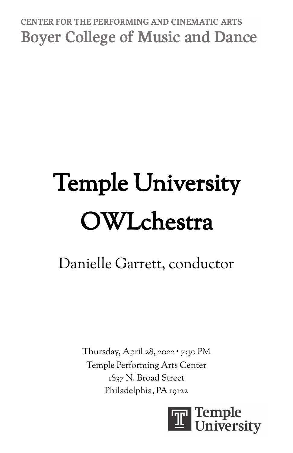## CENTER FOR THE PERFORMING AND CINEMATIC ARTS **Boyer College of Music and Dance**

# Temple University OWLchestra

# Danielle Garrett, conductor

Thursday, April 28, 2022 ∙ 7:30 PM Temple Performing Arts Center 1837 N. Broad Street Philadelphia, PA 19122

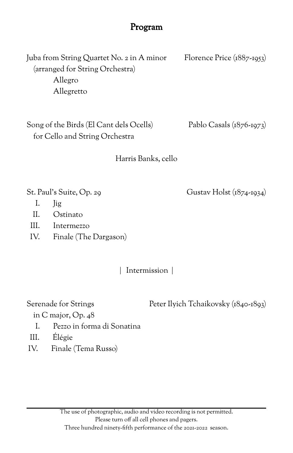#### Program

Juba from String Quartet No. 2 in A minor Florence Price (1887-1953) (arranged for String Orchestra) Allegro Allegretto

Song of the Birds (El Cant dels Ocells) Pablo Casals (1876-1973) for Cello and String Orchestra

Harris Banks, cello

St. Paul's Suite, Op. 29 Gustav Holst (1874-1934)

- I. Jig
- II. Ostinato
- III. Intermezzo
- IV. Finale (The Dargason)

| Intermission |

Serenade for Strings Peter Ilyich Tchaikovsky (1840-1893)

in C major, Op. 48

- I. Pezzo in forma di Sonatina
- III. Élégie
- IV. Finale (Tema Russo)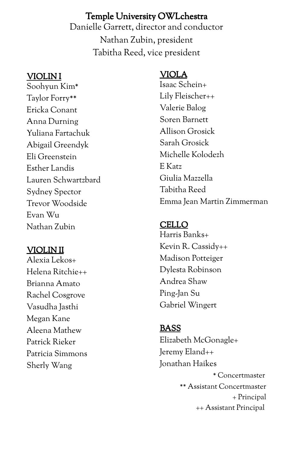#### Temple University OWLchestra

Danielle Garrett, director and conductor Nathan Zubin, president Tabitha Reed, vice president

#### VIOLIN I

Soohyun Kim\* Taylor Forry\*\* Ericka Conant Anna Durning Yuliana Fartachuk Abigail Greendyk Eli Greenstein Esther Landis Lauren Schwartzbard Sydney Spector Trevor Woodside Evan Wu Nathan Zubin

#### VIOLIN II

Alexia Lekos+ Helena Ritchie++ Brianna Amato Rachel Cosgrove Vasudha Jasthi Megan Kane Aleena Mathew Patrick Rieker Patricia Simmons Sherly Wang

#### VIOLA

Isaac Schein+ Lily Fleischer++ Valerie Balog Soren Barnett Allison Grosick Sarah Grosick Michelle Kolodezh E Katz Giulia Mazzella Tabitha Reed Emma Jean Martin Zimmerman

#### CELLO

Harris Banks+ Kevin R. Cassidy++ Madison Potteiger Dylesta Robinson Andrea Shaw Ping-Jan Su Gabriel Wingert

#### BASS

Elizabeth McGonagle+ Jeremy Eland++ Jonathan Haikes \* Concertmaster \*\* Assistant Concertmaster + Principal ++ Assistant Principal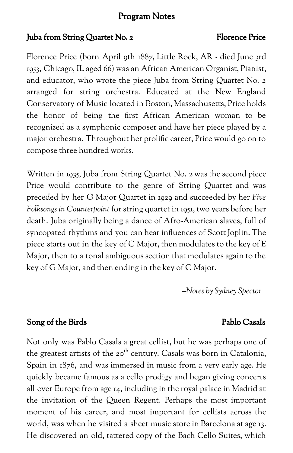#### Program Notes

#### Juba from String Quartet No. 2 Florence Price

Florence Price (born April 9th 1887, Little Rock, AR - died June 3rd 1953, Chicago, IL aged 66) was an African American Organist, Pianist, and educator, who wrote the piece Juba from String Quartet No. 2 arranged for string orchestra. Educated at the New England Conservatory of Music located in Boston, Massachusetts, Price holds the honor of being the first African American woman to be recognized as a symphonic composer and have her piece played by a major orchestra. Throughout her prolific career, Price would go on to compose three hundred works.

Written in 1935, Juba from String Quartet No. 2 was the second piece Price would contribute to the genre of String Quartet and was preceded by her G Major Quartet in 1929 and succeeded by her *Five Folksongs in Counterpoint* for string quartet in 1951, two years before her death. Juba originally being a dance of Afro-American slaves, full of syncopated rhythms and you can hear influences of Scott Joplin. The piece starts out in the key of C Major, then modulates to the key of E Major, then to a tonal ambiguous section that modulates again to the key of G Major, and then ending in the key of C Major.

*–Notes by Sydney Spector*

#### Song of the Birds Pablo Casals

Not only was Pablo Casals a great cellist, but he was perhaps one of the greatest artists of the 20<sup>th</sup> century. Casals was born in Catalonia, Spain in 1876, and was immersed in music from a very early age. He quickly became famous as a cello prodigy and began giving concerts all over Europe from age 14, including in the royal palace in Madrid at the invitation of the Queen Regent. Perhaps the most important moment of his career, and most important for cellists across the world, was when he visited a sheet music store in Barcelona at age 13. He discovered an old, tattered copy of the Bach Cello Suites, which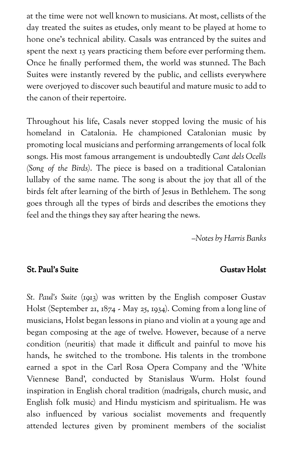at the time were not well known to musicians. At most, cellists of the day treated the suites as etudes, only meant to be played at home to hone one's technical ability. Casals was entranced by the suites and spent the next 13 years practicing them before ever performing them. Once he finally performed them, the world was stunned. The Bach Suites were instantly revered by the public, and cellists everywhere were overjoyed to discover such beautiful and mature music to add to the canon of their repertoire.

Throughout his life, Casals never stopped loving the music of his homeland in Catalonia. He championed Catalonian music by promoting local musicians and performing arrangements of local folk songs. His most famous arrangement is undoubtedly *Cant dels Ocells (Song of the Birds)*. The piece is based on a traditional Catalonian lullaby of the same name. The song is about the joy that all of the birds felt after learning of the birth of Jesus in Bethlehem. The song goes through all the types of birds and describes the emotions they feel and the things they say after hearing the news.

*–Notes by Harris Banks*

#### St. Paul's Suite Gustav Holst

*St. Paul's Suite* (1913) was written by the English composer Gustav Holst (September 21, 1874 - May 25, 1934). Coming from a long line of musicians, Holst began lessons in piano and violin at a young age and began composing at the age of twelve. However, because of a nerve condition (neuritis) that made it difficult and painful to move his hands, he switched to the trombone. His talents in the trombone earned a spot in the Carl Rosa Opera Company and the 'White Viennese Band', conducted by Stanislaus Wurm. Holst found inspiration in English choral tradition (madrigals, church music, and English folk music) and Hindu mysticism and spiritualism. He was also influenced by various socialist movements and frequently attended lectures given by prominent members of the socialist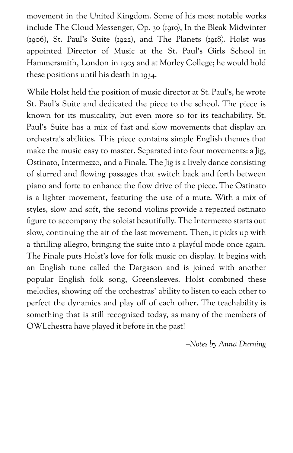movement in the United Kingdom. Some of his most notable works include The Cloud Messenger, Op. 30 (1910), In the Bleak Midwinter (1906), St. Paul's Suite (1922), and The Planets (1918). Holst was appointed Director of Music at the St. Paul's Girls School in Hammersmith, London in 1905 and at Morley College; he would hold these positions until his death in 1934.

While Holst held the position of music director at St. Paul's, he wrote St. Paul's Suite and dedicated the piece to the school. The piece is known for its musicality, but even more so for its teachability. St. Paul's Suite has a mix of fast and slow movements that display an orchestra's abilities. This piece contains simple English themes that make the music easy to master. Separated into four movements: a Jig, Ostinato, Intermezzo, and a Finale. The Jig is a lively dance consisting of slurred and flowing passages that switch back and forth between piano and forte to enhance the flow drive of the piece. The Ostinato is a lighter movement, featuring the use of a mute. With a mix of styles, slow and soft, the second violins provide a repeated ostinato figure to accompany the soloist beautifully. The Intermezzo starts out slow, continuing the air of the last movement. Then, it picks up with a thrilling allegro, bringing the suite into a playful mode once again. The Finale puts Holst's love for folk music on display. It begins with an English tune called the Dargason and is joined with another popular English folk song, Greensleeves. Holst combined these melodies, showing off the orchestras' ability to listen to each other to perfect the dynamics and play off of each other. The teachability is something that is still recognized today, as many of the members of OWLchestra have played it before in the past!

*–Notes by Anna Durning*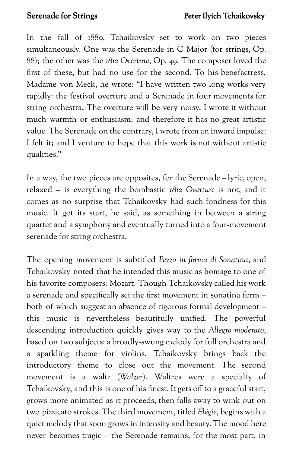In the fall of 1880, Tchaikovsky set to work on two pieces simultaneously. One was the Serenade in C Major (for strings, Op. 88); the other was the *1812 Overture*, Op. 49. The composer loved the first of these, but had no use for the second. To his benefactress, Madame von Meck, he wrote: "I have written two long works very rapidly: the festival overture and a Serenade in four movements for string orchestra. The overture will be very noisy. I wrote it without much warmth or enthusiasm; and therefore it has no great artistic value. The Serenade on the contrary, I wrote from an inward impulse: I felt it; and I venture to hope that this work is not without artistic qualities."

In a way, the two pieces are opposites, for the Serenade – lyric, open, relaxed – is everything the bombastic *1812 Overture* is not, and it comes as no surprise that Tchaikovsky had such fondness for this music. It got its start, he said, as something in between a string quartet and a symphony and eventually turned into a four-movement serenade for string orchestra.

The opening movement is subtitled *Pezzo in forma di Sonatina*, and Tchaikovsky noted that he intended this music as homage to one of his favorite composers: Mozart. Though Tchaikovsky called his work a serenade and specifically set the first movement in sonatina form – both of which suggest an absence of rigorous formal development – this music is nevertheless beautifully unified. The powerful descending introduction quickly gives way to the *Allegro moderato*, based on two subjects: a broadly-swung melody for full orchestra and a sparkling theme for violins. Tchaikovsky brings back the introductory theme to close out the movement. The second movement is a waltz (*Walzer*). Waltzes were a specialty of Tchaikovsky, and this is one of his finest. It gets off to a graceful start, grows more animated as it proceeds, then falls away to wink out on two pizzicato strokes. The third movement, titled *Élégie*, begins with a quiet melody that soon grows in intensity and beauty. The mood here never becomes tragic – the Serenade remains, for the most part, in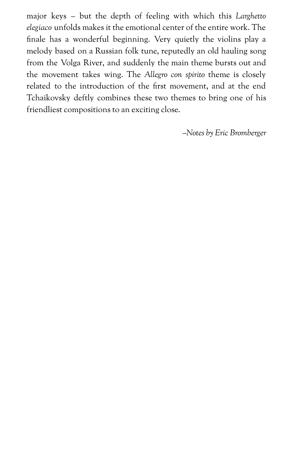major keys – but the depth of feeling with which this *Larghetto elegiaco* unfolds makes it the emotional center of the entire work. The finale has a wonderful beginning. Very quietly the violins play a melody based on a Russian folk tune, reputedly an old hauling song from the Volga River, and suddenly the main theme bursts out and the movement takes wing. The *Allegro con spirito* theme is closely related to the introduction of the first movement, and at the end Tchaikovsky deftly combines these two themes to bring one of his friendliest compositions to an exciting close.

*–Notes by Eric Bromberger*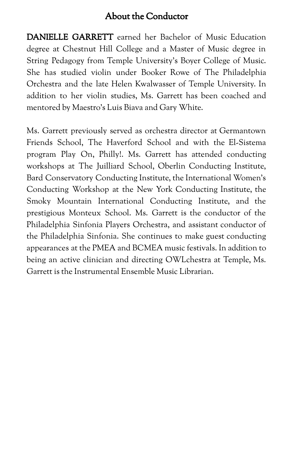#### About the Conductor

DANIELLE GARRETT earned her Bachelor of Music Education degree at Chestnut Hill College and a Master of Music degree in String Pedagogy from Temple University's Boyer College of Music. She has studied violin under Booker Rowe of The Philadelphia Orchestra and the late Helen Kwalwasser of Temple University. In addition to her violin studies, Ms. Garrett has been coached and mentored by Maestro's Luis Biava and Gary White.

Ms. Garrett previously served as orchestra director at Germantown Friends School, The Haverford School and with the El-Sistema program Play On, Philly!. Ms. Garrett has attended conducting workshops at The Juilliard School, Oberlin Conducting Institute, Bard Conservatory Conducting Institute, the International Women's Conducting Workshop at the New York Conducting Institute, the Smoky Mountain International Conducting Institute, and the prestigious Monteux School. Ms. Garrett is the conductor of the Philadelphia Sinfonia Players Orchestra, and assistant conductor of the Philadelphia Sinfonia. She continues to make guest conducting appearances at the PMEA and BCMEA music festivals. In addition to being an active clinician and directing OWLchestra at Temple, Ms. Garrett is the Instrumental Ensemble Music Librarian.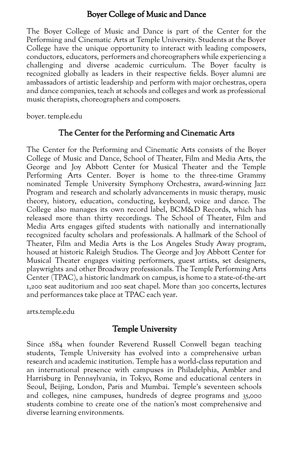#### Boyer College of Music and Dance

The Boyer College of Music and Dance is part of the Center for the Performing and Cinematic Arts at Temple University. Students at the Boyer College have the unique opportunity to interact with leading composers, conductors, educators, performers and choreographers while experiencing a challenging and diverse academic curriculum. The Boyer faculty is recognized globally as leaders in their respective fields. Boyer alumni are ambassadors of artistic leadership and perform with major orchestras, opera and dance companies, teach at schools and colleges and work as professional music therapists, choreographers and composers.

boyer. temple.edu

#### The Center for the Performing and Cinematic Arts

The Center for the Performing and Cinematic Arts consists of the Boyer College of Music and Dance, School of Theater, Film and Media Arts, the George and Joy Abbott Center for Musical Theater and the Temple Performing Arts Center. Boyer is home to the three-time Grammy nominated Temple University Symphony Orchestra, award-winning Jazz Program and research and scholarly advancements in music therapy, music theory, history, education, conducting, keyboard, voice and dance. The College also manages its own record label, BCM&D Records, which has released more than thirty recordings. The School of Theater, Film and Media Arts engages gifted students with nationally and internationally recognized faculty scholars and professionals. A hallmark of the School of Theater, Film and Media Arts is the Los Angeles Study Away program, housed at historic Raleigh Studios. The George and Joy Abbott Center for Musical Theater engages visiting performers, guest artists, set designers, playwrights and other Broadway professionals. The Temple Performing Arts Center (TPAC), a historic landmark on campus, is home to a state-of-the-art 1,200 seat auditorium and 200 seat chapel. More than 300 concerts, lectures and performances take place at TPAC each year.

arts.temple.edu

#### Temple University

Since 1884 when founder Reverend Russell Conwell began teaching students, Temple University has evolved into a comprehensive urban research and academic institution. Temple has a world-class reputation and an international presence with campuses in Philadelphia, Ambler and Harrisburg in Pennsylvania, in Tokyo, Rome and educational centers in Seoul, Beijing, London, Paris and Mumbai. Temple's seventeen schools and colleges, nine campuses, hundreds of degree programs and 35,000 students combine to create one of the nation's most comprehensive and diverse learning environments.